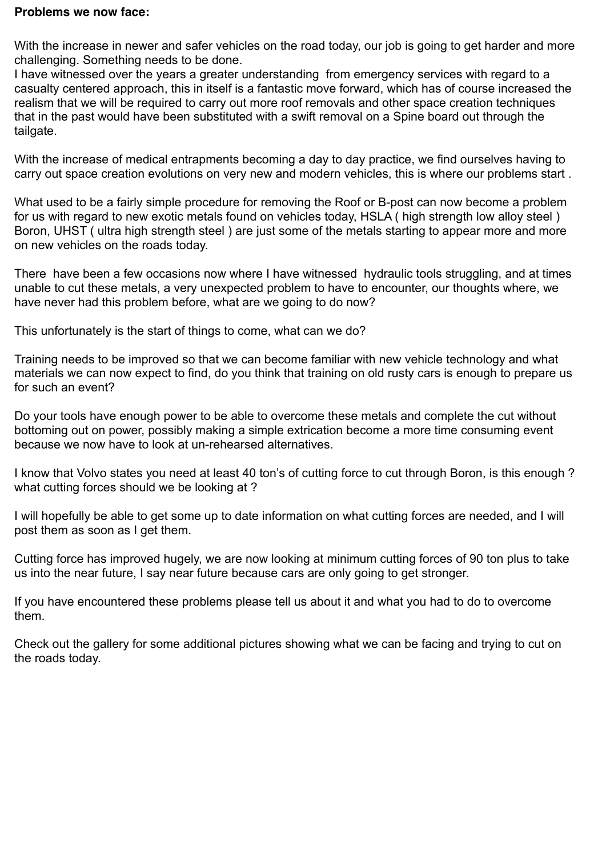## **Problems we now face:**

With the increase in newer and safer vehicles on the road today, our job is going to get harder and more challenging. Something needs to be done.

I have witnessed over the years a greater understanding from emergency services with regard to a casualty centered approach, this in itself is a fantastic move forward, which has of course increased the realism that we will be required to carry out more roof removals and other space creation techniques that in the past would have been substituted with a swift removal on a Spine board out through the tailgate.

With the increase of medical entrapments becoming a day to day practice, we find ourselves having to carry out space creation evolutions on very new and modern vehicles, this is where our problems start .

What used to be a fairly simple procedure for removing the Roof or B-post can now become a problem for us with regard to new exotic metals found on vehicles today, HSLA ( high strength low alloy steel ) Boron, UHST ( ultra high strength steel ) are just some of the metals starting to appear more and more on new vehicles on the roads today.

There have been a few occasions now where I have witnessed hydraulic tools struggling, and at times unable to cut these metals, a very unexpected problem to have to encounter, our thoughts where, we have never had this problem before, what are we going to do now?

This unfortunately is the start of things to come, what can we do?

Training needs to be improved so that we can become familiar with new vehicle technology and what materials we can now expect to find, do you think that training on old rusty cars is enough to prepare us for such an event?

Do your tools have enough power to be able to overcome these metals and complete the cut without bottoming out on power, possibly making a simple extrication become a more time consuming event because we now have to look at un-rehearsed alternatives.

I know that Volvo states you need at least 40 ton's of cutting force to cut through Boron, is this enough ? what cutting forces should we be looking at ?

I will hopefully be able to get some up to date information on what cutting forces are needed, and I will post them as soon as I get them.

Cutting force has improved hugely, we are now looking at minimum cutting forces of 90 ton plus to take us into the near future, I say near future because cars are only going to get stronger.

If you have encountered these problems please tell us about it and what you had to do to overcome them.

Check out the gallery for some additional pictures showing what we can be facing and trying to cut on the roads today.